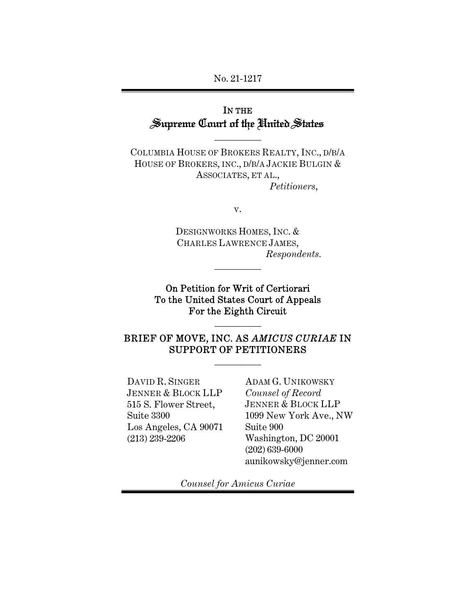### No. 21-1217

# IN THE Supreme Court of the United States

 $\overline{\phantom{a}}$  , where  $\overline{\phantom{a}}$ 

COLUMBIA HOUSE OF BROKERS REALTY, INC., D/B/A HOUSE OF BROKERS, INC., D/B/A JACKIE BULGIN & ASSOCIATES, ET AL., *Petitioners*,

v.

DESIGNWORKS HOMES, INC. & CHARLES LAWRENCE JAMES, *Respondents.* 

On Petition for Writ of Certiorari To the United States Court of Appeals For the Eighth Circuit

 $\overline{\phantom{a}}$  , where  $\overline{\phantom{a}}$ 

# BRIEF OF MOVE, INC. AS *AMICUS CURIAE* IN SUPPORT OF PETITIONERS

 $\overline{\phantom{a}}$  , where  $\overline{\phantom{a}}$ 

 $\overline{\phantom{a}}$  , where  $\overline{\phantom{a}}$ 

DAVID R. SINGER JENNER & BLOCK LLP 515 S. Flower Street, Suite 3300 Los Angeles, CA 90071 (213) 239-2206

ADAM G. UNIKOWSKY *Counsel of Record*  JENNER & BLOCK LLP 1099 New York Ave., NW Suite 900 Washington, DC 20001 (202) 639-6000 aunikowsky@jenner.com

*Counsel for Amicus Curiae*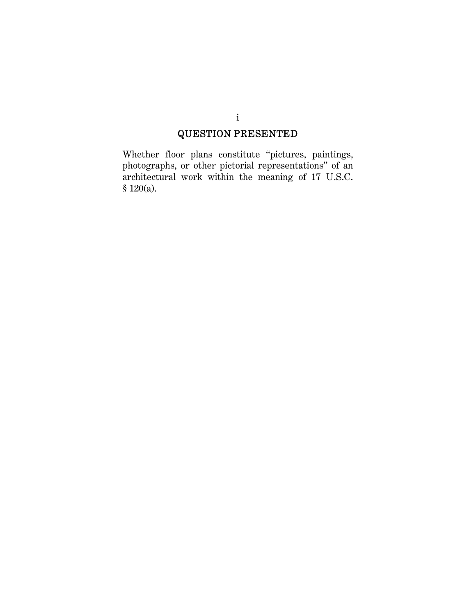# QUESTION PRESENTED

Whether floor plans constitute "pictures, paintings, photographs, or other pictorial representations" of an architectural work within the meaning of 17 U.S.C. § 120(a).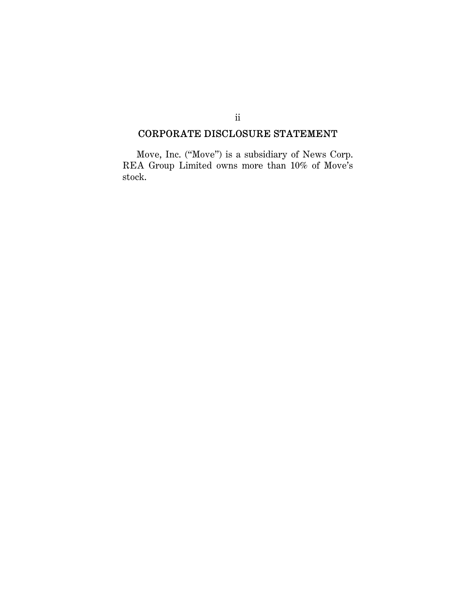# CORPORATE DISCLOSURE STATEMENT

Move, Inc. ("Move") is a subsidiary of News Corp. REA Group Limited owns more than 10% of Move's stock.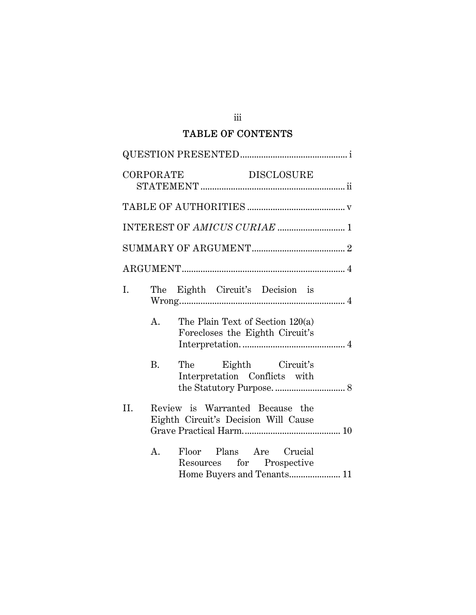# TABLE OF CONTENTS

|     | CORPORATE                                                               | <b>DISCLOSURE</b>                                                   |  |  |  |  |  |
|-----|-------------------------------------------------------------------------|---------------------------------------------------------------------|--|--|--|--|--|
|     |                                                                         |                                                                     |  |  |  |  |  |
|     |                                                                         |                                                                     |  |  |  |  |  |
|     |                                                                         |                                                                     |  |  |  |  |  |
|     |                                                                         |                                                                     |  |  |  |  |  |
| I.  |                                                                         | The Eighth Circuit's Decision is                                    |  |  |  |  |  |
|     | A.                                                                      | The Plain Text of Section 120(a)<br>Forecloses the Eighth Circuit's |  |  |  |  |  |
|     | <b>B.</b>                                                               | The Eighth Circuit's<br>Interpretation Conflicts with               |  |  |  |  |  |
| II. | Review is Warranted Because the<br>Eighth Circuit's Decision Will Cause |                                                                     |  |  |  |  |  |
|     | Α.                                                                      | Floor Plans Are Crucial<br>Resources for Prospective                |  |  |  |  |  |

iii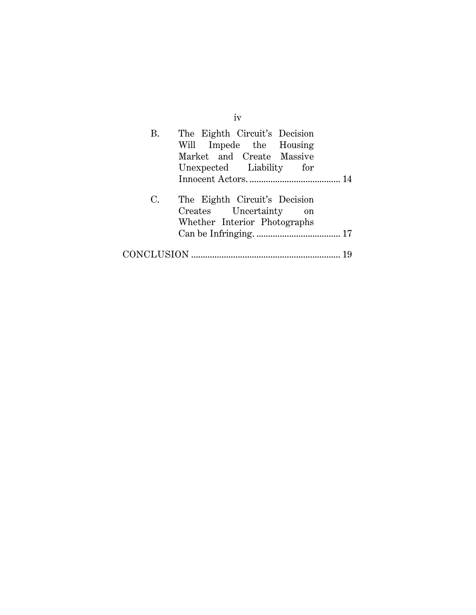|    | iv                                                                                                                |
|----|-------------------------------------------------------------------------------------------------------------------|
| В. | The Eighth Circuit's Decision<br>Will Impede the Housing<br>Market and Create Massive<br>Unexpected Liability for |
|    |                                                                                                                   |
| С. | The Eighth Circuit's Decision<br>Creates Uncertainty<br>on<br>Whether Interior Photographs                        |
|    |                                                                                                                   |
|    |                                                                                                                   |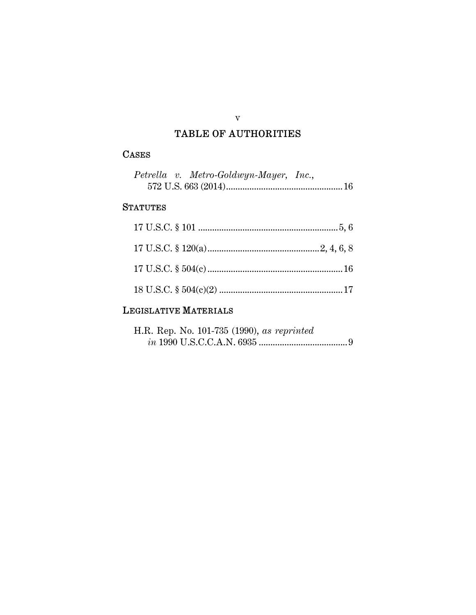# TABLE OF AUTHORITIES

v

# CASES

|  | Petrella v. Metro-Goldwyn-Mayer, Inc., |  |
|--|----------------------------------------|--|
|  |                                        |  |

# **STATUTES**

# LEGISLATIVE MATERIALS

| H.R. Rep. No. 101-735 (1990), as reprinted |  |  |
|--------------------------------------------|--|--|
|                                            |  |  |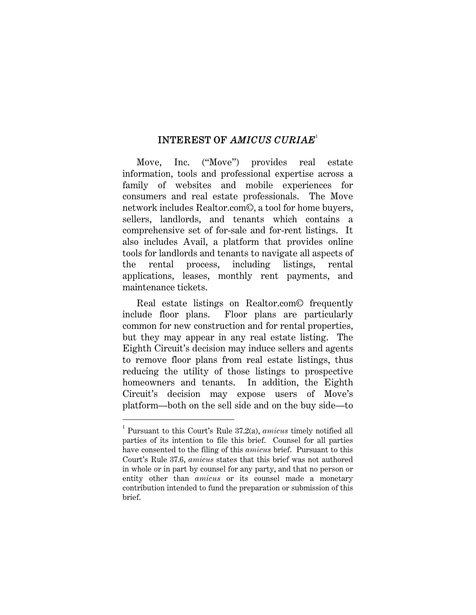#### INTEREST OF *AMICUS CURIAE*<sup>1</sup>

Move, Inc. ("Move") provides real estate information, tools and professional expertise across a family of websites and mobile experiences for consumers and real estate professionals. The Move network includes Realtor.com©, a tool for home buyers, sellers, landlords, and tenants which contains a comprehensive set of for-sale and for-rent listings. It also includes Avail, a platform that provides online tools for landlords and tenants to navigate all aspects of the rental process, including listings, rental applications, leases, monthly rent payments, and maintenance tickets.

Real estate listings on Realtor.com© frequently include floor plans. Floor plans are particularly common for new construction and for rental properties, but they may appear in any real estate listing. The Eighth Circuit's decision may induce sellers and agents to remove floor plans from real estate listings, thus reducing the utility of those listings to prospective homeowners and tenants. In addition, the Eighth Circuit's decision may expose users of Move's platform—both on the sell side and on the buy side—to

<sup>1</sup> Pursuant to this Court's Rule 37.2(a), *amicus* timely notified all parties of its intention to file this brief. Counsel for all parties have consented to the filing of this *amicus* brief. Pursuant to this Court's Rule 37.6, *amicus* states that this brief was not authored in whole or in part by counsel for any party, and that no person or entity other than *amicus* or its counsel made a monetary contribution intended to fund the preparation or submission of this brief.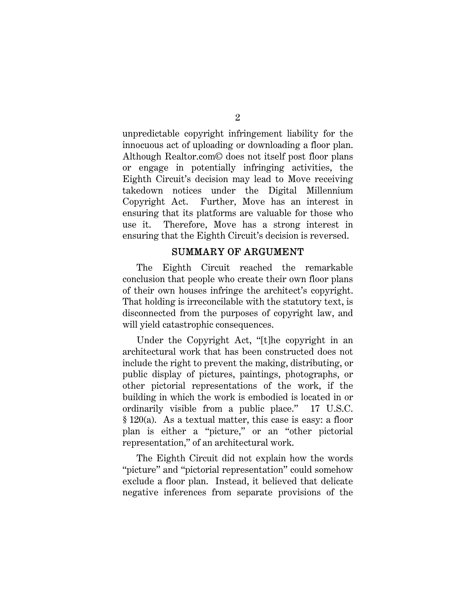unpredictable copyright infringement liability for the innocuous act of uploading or downloading a floor plan. Although Realtor.com© does not itself post floor plans or engage in potentially infringing activities, the Eighth Circuit's decision may lead to Move receiving takedown notices under the Digital Millennium Copyright Act. Further, Move has an interest in ensuring that its platforms are valuable for those who use it. Therefore, Move has a strong interest in ensuring that the Eighth Circuit's decision is reversed.

#### SUMMARY OF ARGUMENT

The Eighth Circuit reached the remarkable conclusion that people who create their own floor plans of their own houses infringe the architect's copyright. That holding is irreconcilable with the statutory text, is disconnected from the purposes of copyright law, and will yield catastrophic consequences.

Under the Copyright Act, "[t]he copyright in an architectural work that has been constructed does not include the right to prevent the making, distributing, or public display of pictures, paintings, photographs, or other pictorial representations of the work, if the building in which the work is embodied is located in or ordinarily visible from a public place." 17 U.S.C. § 120(a). As a textual matter, this case is easy: a floor plan is either a "picture," or an "other pictorial representation," of an architectural work.

The Eighth Circuit did not explain how the words "picture" and "pictorial representation" could somehow exclude a floor plan. Instead, it believed that delicate negative inferences from separate provisions of the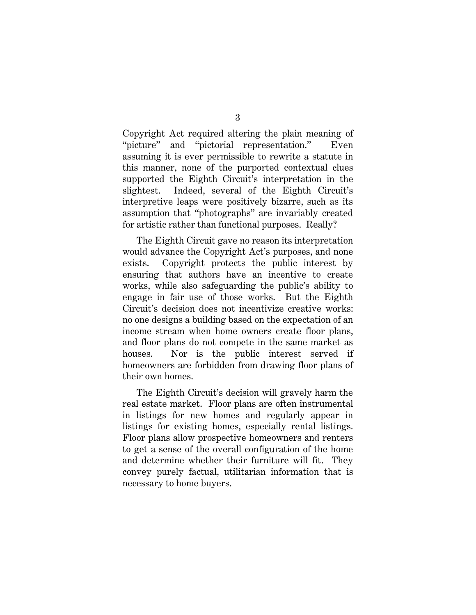Copyright Act required altering the plain meaning of "picture" and "pictorial representation." Even assuming it is ever permissible to rewrite a statute in this manner, none of the purported contextual clues supported the Eighth Circuit's interpretation in the slightest. Indeed, several of the Eighth Circuit's interpretive leaps were positively bizarre, such as its assumption that "photographs" are invariably created for artistic rather than functional purposes. Really?

The Eighth Circuit gave no reason its interpretation would advance the Copyright Act's purposes, and none exists. Copyright protects the public interest by ensuring that authors have an incentive to create works, while also safeguarding the public's ability to engage in fair use of those works. But the Eighth Circuit's decision does not incentivize creative works: no one designs a building based on the expectation of an income stream when home owners create floor plans, and floor plans do not compete in the same market as houses. Nor is the public interest served if homeowners are forbidden from drawing floor plans of their own homes.

The Eighth Circuit's decision will gravely harm the real estate market. Floor plans are often instrumental in listings for new homes and regularly appear in listings for existing homes, especially rental listings. Floor plans allow prospective homeowners and renters to get a sense of the overall configuration of the home and determine whether their furniture will fit. They convey purely factual, utilitarian information that is necessary to home buyers.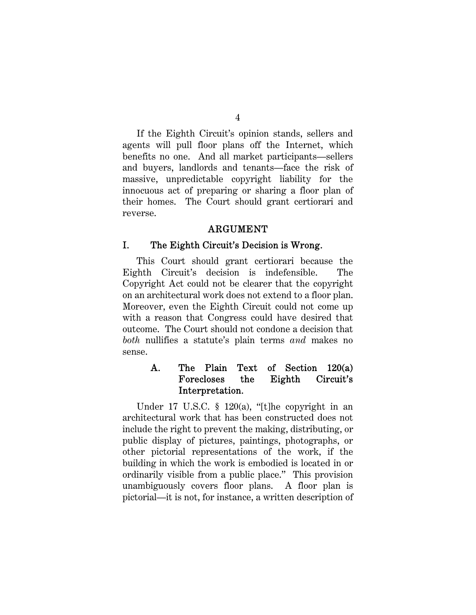If the Eighth Circuit's opinion stands, sellers and agents will pull floor plans off the Internet, which benefits no one. And all market participants—sellers and buyers, landlords and tenants—face the risk of massive, unpredictable copyright liability for the innocuous act of preparing or sharing a floor plan of their homes. The Court should grant certiorari and reverse.

#### ARGUMENT

#### I. The Eighth Circuit's Decision is Wrong.

This Court should grant certiorari because the Eighth Circuit's decision is indefensible. The Copyright Act could not be clearer that the copyright on an architectural work does not extend to a floor plan. Moreover, even the Eighth Circuit could not come up with a reason that Congress could have desired that outcome. The Court should not condone a decision that *both* nullifies a statute's plain terms *and* makes no sense.

### A. The Plain Text of Section 120(a) Forecloses the Eighth Circuit's Interpretation.

Under 17 U.S.C. § 120(a), "[t]he copyright in an architectural work that has been constructed does not include the right to prevent the making, distributing, or public display of pictures, paintings, photographs, or other pictorial representations of the work, if the building in which the work is embodied is located in or ordinarily visible from a public place." This provision unambiguously covers floor plans. A floor plan is pictorial—it is not, for instance, a written description of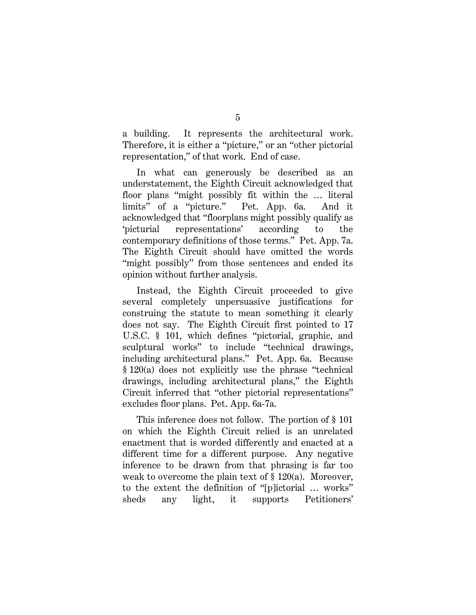a building. It represents the architectural work. Therefore, it is either a "picture," or an "other pictorial representation," of that work. End of case.

In what can generously be described as an understatement, the Eighth Circuit acknowledged that floor plans "might possibly fit within the … literal limits" of a "picture." Pet. App. 6a. And it acknowledged that "floorplans might possibly qualify as 'picturial representations' according to the contemporary definitions of those terms." Pet. App. 7a. The Eighth Circuit should have omitted the words "might possibly" from those sentences and ended its opinion without further analysis.

Instead, the Eighth Circuit proceeded to give several completely unpersuasive justifications for construing the statute to mean something it clearly does not say. The Eighth Circuit first pointed to 17 U.S.C. § 101, which defines "pictorial, graphic, and sculptural works" to include "technical drawings, including architectural plans." Pet. App. 6a. Because § 120(a) does not explicitly use the phrase "technical drawings, including architectural plans," the Eighth Circuit inferred that "other pictorial representations" excludes floor plans. Pet. App. 6a-7a.

This inference does not follow. The portion of § 101 on which the Eighth Circuit relied is an unrelated enactment that is worded differently and enacted at a different time for a different purpose. Any negative inference to be drawn from that phrasing is far too weak to overcome the plain text of § 120(a). Moreover, to the extent the definition of "[p]ictorial … works" sheds any light, it supports Petitioners'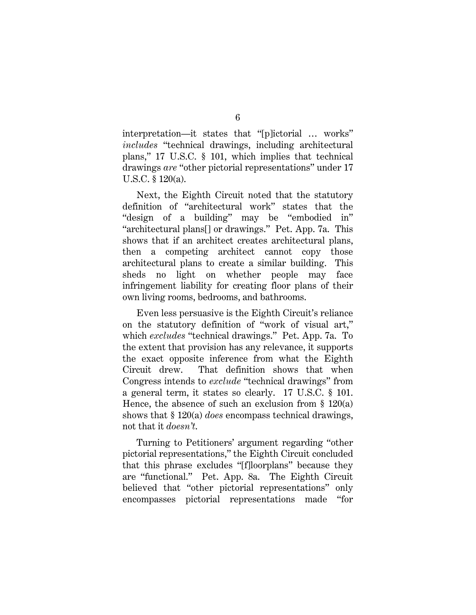interpretation—it states that "[p]ictorial … works" *includes* "technical drawings, including architectural plans," 17 U.S.C. § 101, which implies that technical drawings *are* "other pictorial representations" under 17 U.S.C. § 120(a).

Next, the Eighth Circuit noted that the statutory definition of "architectural work" states that the "design of a building" may be "embodied in" "architectural plans[] or drawings." Pet. App. 7a. This shows that if an architect creates architectural plans, then a competing architect cannot copy those architectural plans to create a similar building. This sheds no light on whether people may face infringement liability for creating floor plans of their own living rooms, bedrooms, and bathrooms.

Even less persuasive is the Eighth Circuit's reliance on the statutory definition of "work of visual art," which *excludes* "technical drawings." Pet. App. 7a. To the extent that provision has any relevance, it supports the exact opposite inference from what the Eighth Circuit drew. That definition shows that when Congress intends to *exclude* "technical drawings" from a general term, it states so clearly. 17 U.S.C. § 101. Hence, the absence of such an exclusion from  $\S$  120(a) shows that § 120(a) *does* encompass technical drawings, not that it *doesn't*.

Turning to Petitioners' argument regarding "other pictorial representations," the Eighth Circuit concluded that this phrase excludes "[f]loorplans" because they are "functional." Pet. App. 8a. The Eighth Circuit believed that "other pictorial representations" only encompasses pictorial representations made "for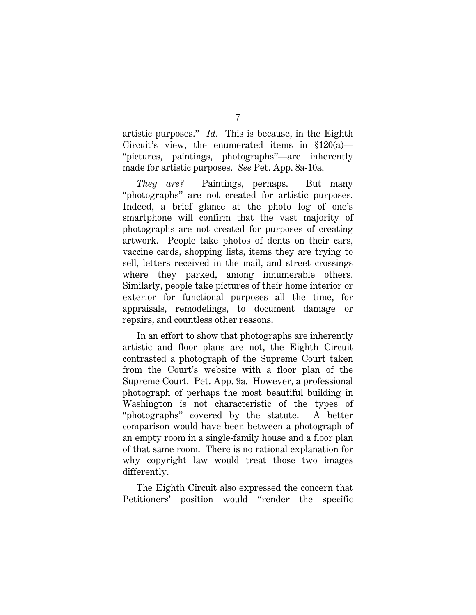artistic purposes." *Id.* This is because, in the Eighth Circuit's view, the enumerated items in  $$120(a)$ — "pictures, paintings, photographs"—are inherently made for artistic purposes. *See* Pet. App. 8a-10a.

*They are?* Paintings, perhaps. But many "photographs" are not created for artistic purposes. Indeed, a brief glance at the photo log of one's smartphone will confirm that the vast majority of photographs are not created for purposes of creating artwork. People take photos of dents on their cars, vaccine cards, shopping lists, items they are trying to sell, letters received in the mail, and street crossings where they parked, among innumerable others. Similarly, people take pictures of their home interior or exterior for functional purposes all the time, for appraisals, remodelings, to document damage or repairs, and countless other reasons.

In an effort to show that photographs are inherently artistic and floor plans are not, the Eighth Circuit contrasted a photograph of the Supreme Court taken from the Court's website with a floor plan of the Supreme Court. Pet. App. 9a. However, a professional photograph of perhaps the most beautiful building in Washington is not characteristic of the types of "photographs" covered by the statute. A better comparison would have been between a photograph of an empty room in a single-family house and a floor plan of that same room. There is no rational explanation for why copyright law would treat those two images differently.

The Eighth Circuit also expressed the concern that Petitioners' position would "render the specific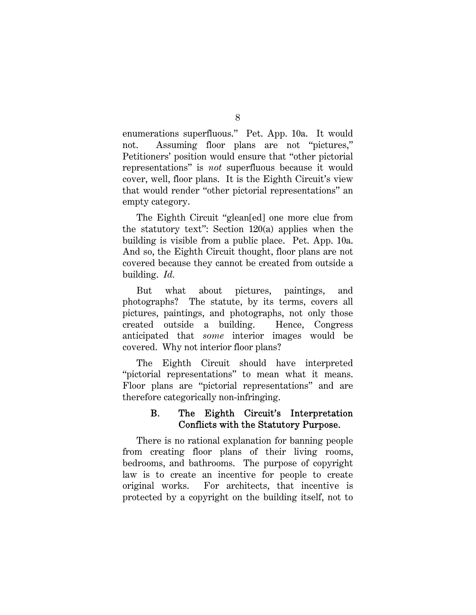enumerations superfluous." Pet. App. 10a. It would not. Assuming floor plans are not "pictures," Petitioners' position would ensure that "other pictorial representations" is *not* superfluous because it would cover, well, floor plans. It is the Eighth Circuit's view that would render "other pictorial representations" an empty category.

The Eighth Circuit "glean[ed] one more clue from the statutory text": Section 120(a) applies when the building is visible from a public place. Pet. App. 10a. And so, the Eighth Circuit thought, floor plans are not covered because they cannot be created from outside a building. *Id.*

But what about pictures, paintings, and photographs? The statute, by its terms, covers all pictures, paintings, and photographs, not only those created outside a building. Hence, Congress anticipated that *some* interior images would be covered. Why not interior floor plans?

The Eighth Circuit should have interpreted "pictorial representations" to mean what it means. Floor plans are "pictorial representations" and are therefore categorically non-infringing.

### B. The Eighth Circuit's Interpretation Conflicts with the Statutory Purpose.

There is no rational explanation for banning people from creating floor plans of their living rooms, bedrooms, and bathrooms. The purpose of copyright law is to create an incentive for people to create original works. For architects, that incentive is protected by a copyright on the building itself, not to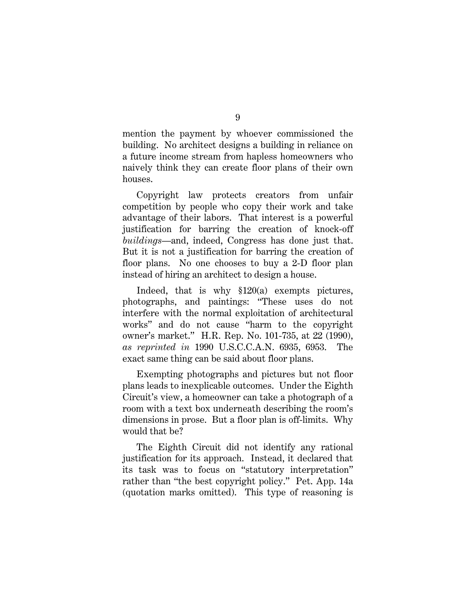mention the payment by whoever commissioned the building. No architect designs a building in reliance on a future income stream from hapless homeowners who naively think they can create floor plans of their own houses.

Copyright law protects creators from unfair competition by people who copy their work and take advantage of their labors. That interest is a powerful justification for barring the creation of knock-off *buildings*—and, indeed, Congress has done just that. But it is not a justification for barring the creation of floor plans. No one chooses to buy a 2-D floor plan instead of hiring an architect to design a house.

Indeed, that is why §120(a) exempts pictures, photographs, and paintings: "These uses do not interfere with the normal exploitation of architectural works" and do not cause "harm to the copyright owner's market." H.R. Rep. No. 101-735, at 22 (1990), *as reprinted in* 1990 U.S.C.C.A.N. 6935, 6953. The exact same thing can be said about floor plans.

Exempting photographs and pictures but not floor plans leads to inexplicable outcomes. Under the Eighth Circuit's view, a homeowner can take a photograph of a room with a text box underneath describing the room's dimensions in prose. But a floor plan is off-limits. Why would that be?

The Eighth Circuit did not identify any rational justification for its approach. Instead, it declared that its task was to focus on "statutory interpretation" rather than "the best copyright policy." Pet. App. 14a (quotation marks omitted). This type of reasoning is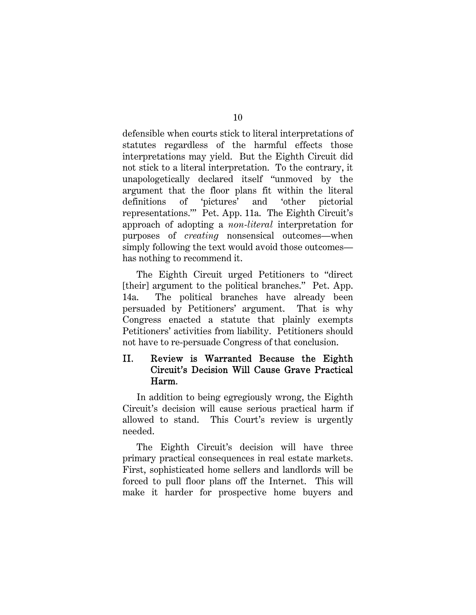defensible when courts stick to literal interpretations of statutes regardless of the harmful effects those interpretations may yield. But the Eighth Circuit did not stick to a literal interpretation. To the contrary, it unapologetically declared itself "unmoved by the argument that the floor plans fit within the literal definitions of 'pictures' and 'other pictorial representations.'" Pet. App. 11a. The Eighth Circuit's approach of adopting a *non-literal* interpretation for purposes of *creating* nonsensical outcomes—when simply following the text would avoid those outcomes has nothing to recommend it.

The Eighth Circuit urged Petitioners to "direct [their] argument to the political branches." Pet. App. 14a. The political branches have already been persuaded by Petitioners' argument. That is why Congress enacted a statute that plainly exempts Petitioners' activities from liability. Petitioners should not have to re-persuade Congress of that conclusion.

### II. Review is Warranted Because the Eighth Circuit's Decision Will Cause Grave Practical Harm.

In addition to being egregiously wrong, the Eighth Circuit's decision will cause serious practical harm if allowed to stand. This Court's review is urgently needed.

The Eighth Circuit's decision will have three primary practical consequences in real estate markets. First, sophisticated home sellers and landlords will be forced to pull floor plans off the Internet. This will make it harder for prospective home buyers and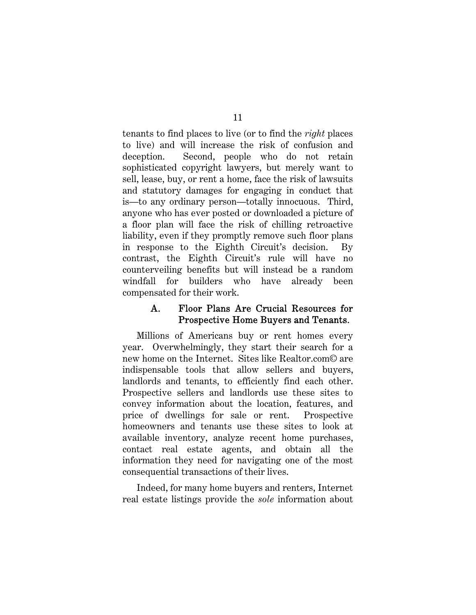tenants to find places to live (or to find the *right* places to live) and will increase the risk of confusion and deception. Second, people who do not retain sophisticated copyright lawyers, but merely want to sell, lease, buy, or rent a home, face the risk of lawsuits and statutory damages for engaging in conduct that is—to any ordinary person—totally innocuous. Third, anyone who has ever posted or downloaded a picture of a floor plan will face the risk of chilling retroactive liability, even if they promptly remove such floor plans in response to the Eighth Circuit's decision. By contrast, the Eighth Circuit's rule will have no counterveiling benefits but will instead be a random windfall for builders who have already been compensated for their work.

### A. Floor Plans Are Crucial Resources for Prospective Home Buyers and Tenants.

Millions of Americans buy or rent homes every year. Overwhelmingly, they start their search for a new home on the Internet. Sites like Realtor.com© are indispensable tools that allow sellers and buyers, landlords and tenants, to efficiently find each other. Prospective sellers and landlords use these sites to convey information about the location, features, and price of dwellings for sale or rent. Prospective homeowners and tenants use these sites to look at available inventory, analyze recent home purchases, contact real estate agents, and obtain all the information they need for navigating one of the most consequential transactions of their lives.

Indeed, for many home buyers and renters, Internet real estate listings provide the *sole* information about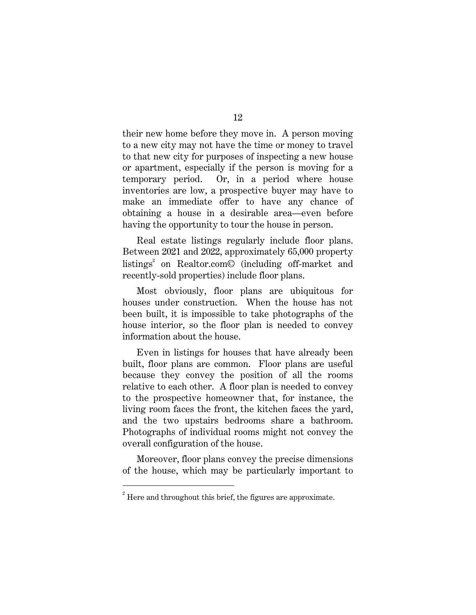their new home before they move in. A person moving to a new city may not have the time or money to travel to that new city for purposes of inspecting a new house or apartment, especially if the person is moving for a temporary period. Or, in a period where house inventories are low, a prospective buyer may have to make an immediate offer to have any chance of obtaining a house in a desirable area—even before having the opportunity to tour the house in person.

Real estate listings regularly include floor plans. Between 2021 and 2022, approximately 65,000 property listings<sup>2</sup> on Realtor.com© (including off-market and recently-sold properties) include floor plans.

Most obviously, floor plans are ubiquitous for houses under construction. When the house has not been built, it is impossible to take photographs of the house interior, so the floor plan is needed to convey information about the house.

Even in listings for houses that have already been built, floor plans are common. Floor plans are useful because they convey the position of all the rooms relative to each other. A floor plan is needed to convey to the prospective homeowner that, for instance, the living room faces the front, the kitchen faces the yard, and the two upstairs bedrooms share a bathroom. Photographs of individual rooms might not convey the overall configuration of the house.

Moreover, floor plans convey the precise dimensions of the house, which may be particularly important to

 $2^{2}$  Here and throughout this brief, the figures are approximate.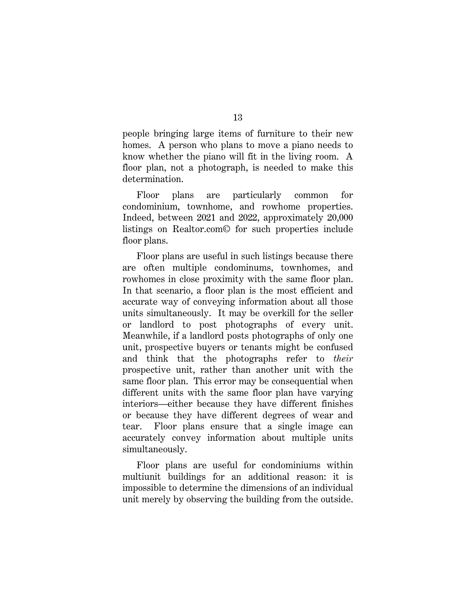people bringing large items of furniture to their new homes. A person who plans to move a piano needs to know whether the piano will fit in the living room. A floor plan, not a photograph, is needed to make this determination.

Floor plans are particularly common for condominium, townhome, and rowhome properties. Indeed, between 2021 and 2022, approximately 20,000 listings on Realtor.com© for such properties include floor plans.

Floor plans are useful in such listings because there are often multiple condominums, townhomes, and rowhomes in close proximity with the same floor plan. In that scenario, a floor plan is the most efficient and accurate way of conveying information about all those units simultaneously. It may be overkill for the seller or landlord to post photographs of every unit. Meanwhile, if a landlord posts photographs of only one unit, prospective buyers or tenants might be confused and think that the photographs refer to *their* prospective unit, rather than another unit with the same floor plan. This error may be consequential when different units with the same floor plan have varying interiors—either because they have different finishes or because they have different degrees of wear and tear. Floor plans ensure that a single image can accurately convey information about multiple units simultaneously.

Floor plans are useful for condominiums within multiunit buildings for an additional reason: it is impossible to determine the dimensions of an individual unit merely by observing the building from the outside.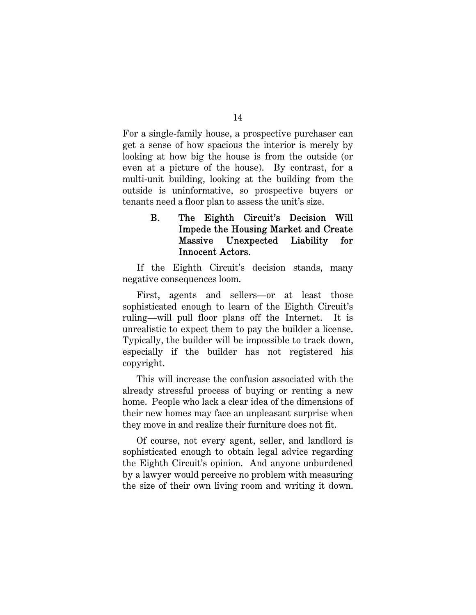For a single-family house, a prospective purchaser can get a sense of how spacious the interior is merely by looking at how big the house is from the outside (or even at a picture of the house). By contrast, for a multi-unit building, looking at the building from the outside is uninformative, so prospective buyers or tenants need a floor plan to assess the unit's size.

# B. The Eighth Circuit's Decision Will Impede the Housing Market and Create Massive Unexpected Liability for Innocent Actors.

If the Eighth Circuit's decision stands, many negative consequences loom.

First, agents and sellers—or at least those sophisticated enough to learn of the Eighth Circuit's ruling—will pull floor plans off the Internet. It is unrealistic to expect them to pay the builder a license. Typically, the builder will be impossible to track down, especially if the builder has not registered his copyright.

This will increase the confusion associated with the already stressful process of buying or renting a new home. People who lack a clear idea of the dimensions of their new homes may face an unpleasant surprise when they move in and realize their furniture does not fit.

Of course, not every agent, seller, and landlord is sophisticated enough to obtain legal advice regarding the Eighth Circuit's opinion. And anyone unburdened by a lawyer would perceive no problem with measuring the size of their own living room and writing it down.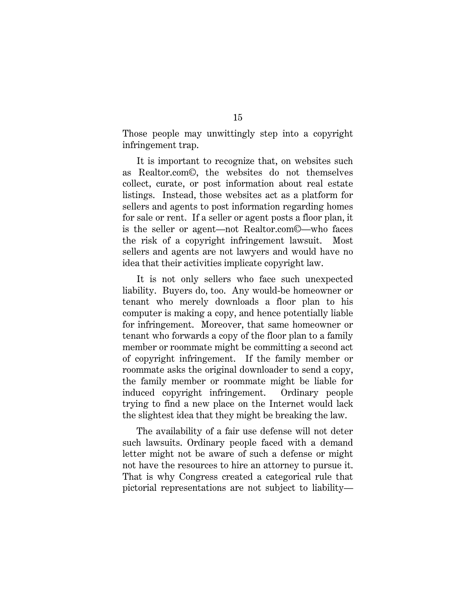Those people may unwittingly step into a copyright infringement trap.

It is important to recognize that, on websites such as Realtor.com©, the websites do not themselves collect, curate, or post information about real estate listings. Instead, those websites act as a platform for sellers and agents to post information regarding homes for sale or rent. If a seller or agent posts a floor plan, it is the seller or agent—not Realtor.com©—who faces the risk of a copyright infringement lawsuit. Most sellers and agents are not lawyers and would have no idea that their activities implicate copyright law.

It is not only sellers who face such unexpected liability. Buyers do, too. Any would-be homeowner or tenant who merely downloads a floor plan to his computer is making a copy, and hence potentially liable for infringement. Moreover, that same homeowner or tenant who forwards a copy of the floor plan to a family member or roommate might be committing a second act of copyright infringement. If the family member or roommate asks the original downloader to send a copy, the family member or roommate might be liable for induced copyright infringement. Ordinary people trying to find a new place on the Internet would lack the slightest idea that they might be breaking the law.

The availability of a fair use defense will not deter such lawsuits. Ordinary people faced with a demand letter might not be aware of such a defense or might not have the resources to hire an attorney to pursue it. That is why Congress created a categorical rule that pictorial representations are not subject to liability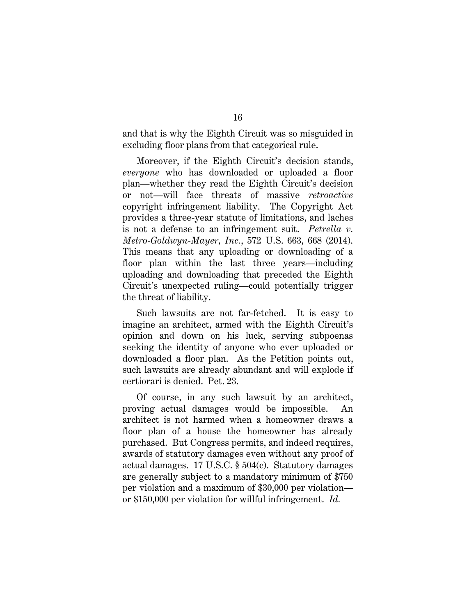and that is why the Eighth Circuit was so misguided in excluding floor plans from that categorical rule.

Moreover, if the Eighth Circuit's decision stands, *everyone* who has downloaded or uploaded a floor plan—whether they read the Eighth Circuit's decision or not—will face threats of massive *retroactive* copyright infringement liability. The Copyright Act provides a three-year statute of limitations, and laches is not a defense to an infringement suit. *Petrella v. Metro-Goldwyn-Mayer, Inc.*, 572 U.S. 663, 668 (2014). This means that any uploading or downloading of a floor plan within the last three years—including uploading and downloading that preceded the Eighth Circuit's unexpected ruling—could potentially trigger the threat of liability.

Such lawsuits are not far-fetched. It is easy to imagine an architect, armed with the Eighth Circuit's opinion and down on his luck, serving subpoenas seeking the identity of anyone who ever uploaded or downloaded a floor plan. As the Petition points out, such lawsuits are already abundant and will explode if certiorari is denied. Pet. 23.

Of course, in any such lawsuit by an architect, proving actual damages would be impossible. An architect is not harmed when a homeowner draws a floor plan of a house the homeowner has already purchased. But Congress permits, and indeed requires, awards of statutory damages even without any proof of actual damages. 17 U.S.C. § 504(c). Statutory damages are generally subject to a mandatory minimum of \$750 per violation and a maximum of \$30,000 per violation or \$150,000 per violation for willful infringement. *Id.*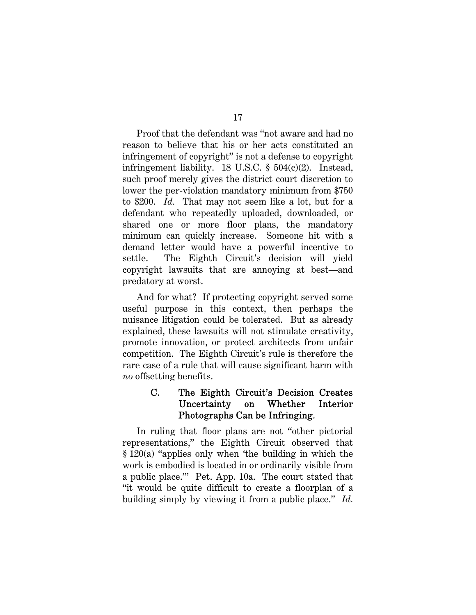Proof that the defendant was "not aware and had no reason to believe that his or her acts constituted an infringement of copyright" is not a defense to copyright infringement liability. 18 U.S.C. § 504(c)(2). Instead, such proof merely gives the district court discretion to lower the per-violation mandatory minimum from \$750 to \$200. *Id.* That may not seem like a lot, but for a defendant who repeatedly uploaded, downloaded, or shared one or more floor plans, the mandatory minimum can quickly increase. Someone hit with a demand letter would have a powerful incentive to settle. The Eighth Circuit's decision will yield copyright lawsuits that are annoying at best—and predatory at worst.

And for what? If protecting copyright served some useful purpose in this context, then perhaps the nuisance litigation could be tolerated. But as already explained, these lawsuits will not stimulate creativity, promote innovation, or protect architects from unfair competition. The Eighth Circuit's rule is therefore the rare case of a rule that will cause significant harm with *no* offsetting benefits.

### C. The Eighth Circuit's Decision Creates Uncertainty on Whether Interior Photographs Can be Infringing.

In ruling that floor plans are not "other pictorial representations," the Eighth Circuit observed that § 120(a) "applies only when 'the building in which the work is embodied is located in or ordinarily visible from a public place.'" Pet. App. 10a. The court stated that "it would be quite difficult to create a floorplan of a building simply by viewing it from a public place." *Id.*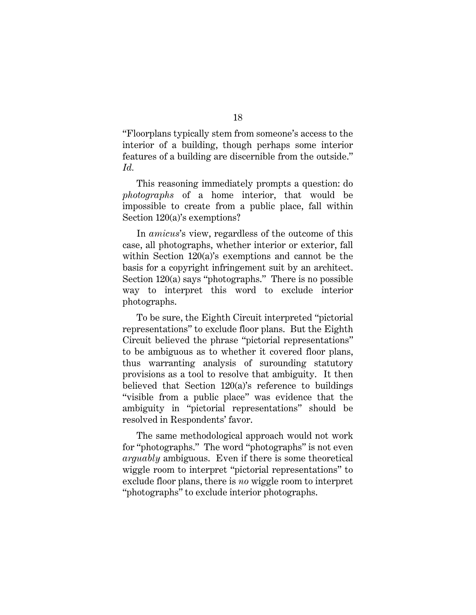"Floorplans typically stem from someone's access to the interior of a building, though perhaps some interior features of a building are discernible from the outside." *Id.*

This reasoning immediately prompts a question: do *photographs* of a home interior, that would be impossible to create from a public place, fall within Section 120(a)'s exemptions?

In *amicus*'s view, regardless of the outcome of this case, all photographs, whether interior or exterior, fall within Section 120(a)'s exemptions and cannot be the basis for a copyright infringement suit by an architect. Section 120(a) says "photographs." There is no possible way to interpret this word to exclude interior photographs.

To be sure, the Eighth Circuit interpreted "pictorial representations" to exclude floor plans. But the Eighth Circuit believed the phrase "pictorial representations" to be ambiguous as to whether it covered floor plans, thus warranting analysis of surounding statutory provisions as a tool to resolve that ambiguity. It then believed that Section 120(a)'s reference to buildings "visible from a public place" was evidence that the ambiguity in "pictorial representations" should be resolved in Respondents' favor.

The same methodological approach would not work for "photographs." The word "photographs" is not even *arguably* ambiguous. Even if there is some theoretical wiggle room to interpret "pictorial representations" to exclude floor plans, there is *no* wiggle room to interpret "photographs" to exclude interior photographs.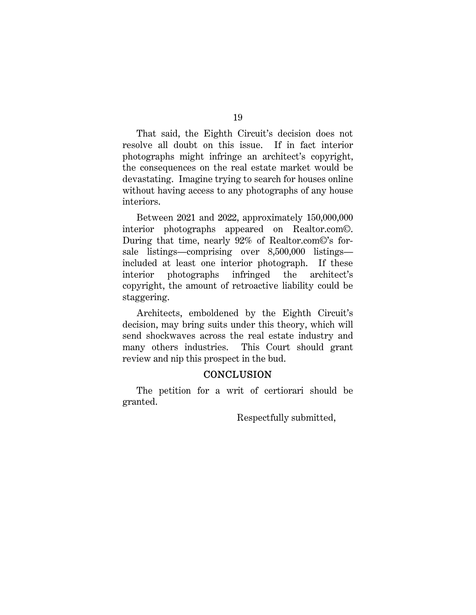That said, the Eighth Circuit's decision does not resolve all doubt on this issue. If in fact interior photographs might infringe an architect's copyright, the consequences on the real estate market would be devastating. Imagine trying to search for houses online without having access to any photographs of any house interiors.

Between 2021 and 2022, approximately 150,000,000 interior photographs appeared on Realtor.com©. During that time, nearly 92% of Realtor.com©'s forsale listings—comprising over 8,500,000 listings included at least one interior photograph. If these interior photographs infringed the architect's copyright, the amount of retroactive liability could be staggering.

Architects, emboldened by the Eighth Circuit's decision, may bring suits under this theory, which will send shockwaves across the real estate industry and many others industries. This Court should grant review and nip this prospect in the bud.

### **CONCLUSION**

The petition for a writ of certiorari should be granted.

Respectfully submitted,